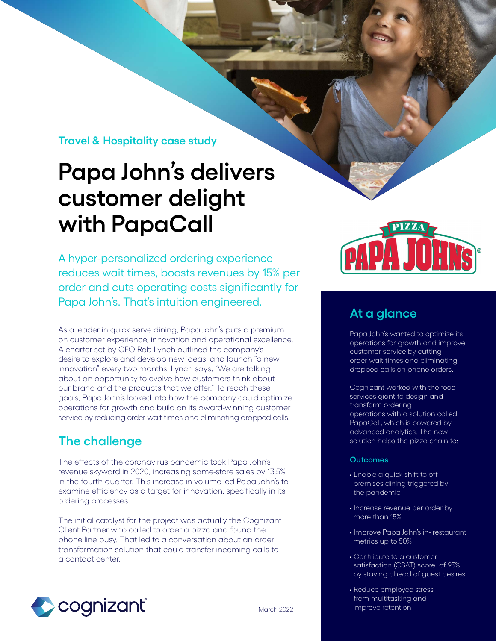**Travel & Hospitality case study**

# **Papa John's delivers customer delight with PapaCall**

A hyper-personalized ordering experience reduces wait times, boosts revenues by 15% per order and cuts operating costs significantly for Papa John's. That's intuition engineered.

As a leader in quick serve dining, Papa John's puts a premium on customer experience, innovation and operational excellence. A charter set by CEO Rob Lynch outlined the company's desire to explore and develop new ideas, and launch "a new innovation" every two months. Lynch says, "We are talking about an opportunity to evolve how customers think about our brand and the products that we offer." To reach these goals, Papa John's looked into how the company could optimize operations for growth and build on its award-winning customer service by reducing order wait times and eliminating dropped calls.

# **The challenge**

The effects of the coronavirus pandemic took Papa John's revenue skyward in 2020, increasing same-store sales by 13.5% in the fourth quarter. This increase in volume led Papa John's to examine efficiency as a target for innovation, specifically in its ordering processes.

The initial catalyst for the project was actually the Cognizant Client Partner who called to order a pizza and found the phone line busy. That led to a conversation about an order transformation solution that could transfer incoming calls to a contact center.





## **At a glance**

Papa John's wanted to optimize its operations for growth and improve customer service by cutting order wait times and eliminating dropped calls on phone orders.

Cognizant worked with the food services giant to design and transform ordering operations with a solution called PapaCall, which is powered by advanced analytics. The new solution helps the pizza chain to:

## **Outcomes**

- Enable a quick shift to off premises dining triggered by the pandemic
- Increase revenue per order by more than 15%
- Improve Papa John's in- restaurant metrics up to 50%
- Contribute to a customer satisfaction (CSAT) score of 95% by staying ahead of guest desires
- Reduce employee stress from multitasking and improve retention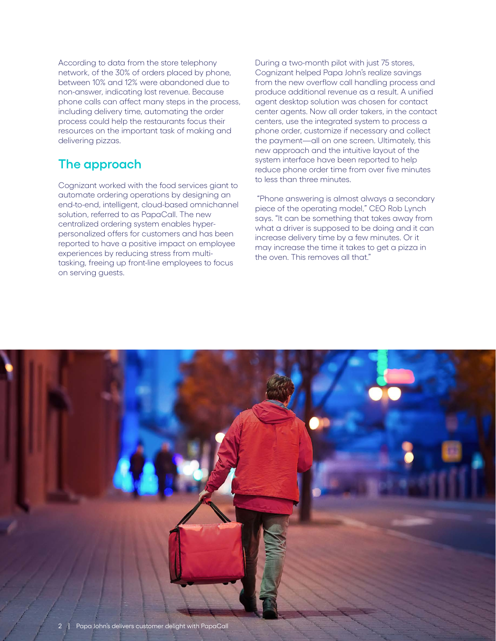According to data from the store telephony network, of the 30% of orders placed by phone, between 10% and 12% were abandoned due to non-answer, indicating lost revenue. Because phone calls can affect many steps in the process, including delivery time, automating the order process could help the restaurants focus their resources on the important task of making and delivering pizzas.

# **The approach**

Cognizant worked with the food services giant to automate ordering operations by designing an end-to-end, intelligent, cloud-based omnichannel solution, referred to as PapaCall. The new centralized ordering system enables hyperpersonalized offers for customers and has been reported to have a positive impact on employee experiences by reducing stress from multitasking, freeing up front-line employees to focus on serving guests.

During a two-month pilot with just 75 stores, Cognizant helped Papa John's realize savings from the new overflow call handling process and produce additional revenue as a result. A unified agent desktop solution was chosen for contact center agents. Now all order takers, in the contact centers, use the integrated system to process a phone order, customize if necessary and collect the payment—all on one screen. Ultimately, this new approach and the intuitive layout of the system interface have been reported to help reduce phone order time from over five minutes to less than three minutes.

 "Phone answering is almost always a secondary piece of the operating model," CEO Rob Lynch says. "It can be something that takes away from what a driver is supposed to be doing and it can increase delivery time by a few minutes. Or it may increase the time it takes to get a pizza in the oven. This removes all that."

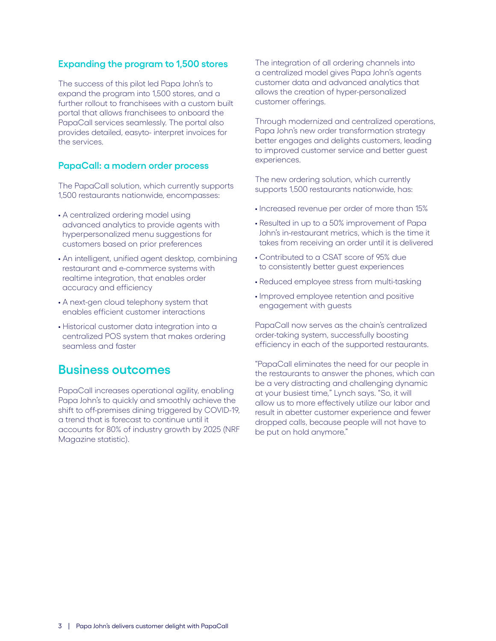## **Expanding the program to 1,500 stores**

The success of this pilot led Papa John's to expand the program into 1,500 stores, and a further rollout to franchisees with a custom built portal that allows franchisees to onboard the PapaCall services seamlessly. The portal also provides detailed, easyto- interpret invoices for the services.

## **PapaCall: a modern order process**

The PapaCall solution, which currently supports 1,500 restaurants nationwide, encompasses:

- A centralized ordering model using advanced analytics to provide agents with hyperpersonalized menu suggestions for customers based on prior preferences
- An intelligent, unified agent desktop, combining restaurant and e-commerce systems with realtime integration, that enables order accuracy and efficiency
- A next-gen cloud telephony system that enables efficient customer interactions
- Historical customer data integration into a centralized POS system that makes ordering seamless and faster

## **Business outcomes**

PapaCall increases operational agility, enabling Papa John's to quickly and smoothly achieve the shift to off-premises dining triggered by COVID-19, a trend that is forecast to continue until it accounts for 80% of industry growth by 2025 (NRF Magazine statistic).

The integration of all ordering channels into a centralized model gives Papa John's agents customer data and advanced analytics that allows the creation of hyper-personalized customer offerings.

Through modernized and centralized operations, Papa John's new order transformation strategy better engages and delights customers, leading to improved customer service and better guest experiences.

The new ordering solution, which currently supports 1,500 restaurants nationwide, has:

- Increased revenue per order of more than 15%
- Resulted in up to a 50% improvement of Papa John's in-restaurant metrics, which is the time it takes from receiving an order until it is delivered
- Contributed to a CSAT score of 95% due to consistently better guest experiences
- Reduced employee stress from multi-tasking
- Improved employee retention and positive engagement with guests

PapaCall now serves as the chain's centralized order-taking system, successfully boosting efficiency in each of the supported restaurants.

"PapaCall eliminates the need for our people in the restaurants to answer the phones, which can be a very distracting and challenging dynamic at your busiest time," Lynch says. "So, it will allow us to more effectively utilize our labor and result in abetter customer experience and fewer dropped calls, because people will not have to be put on hold anymore."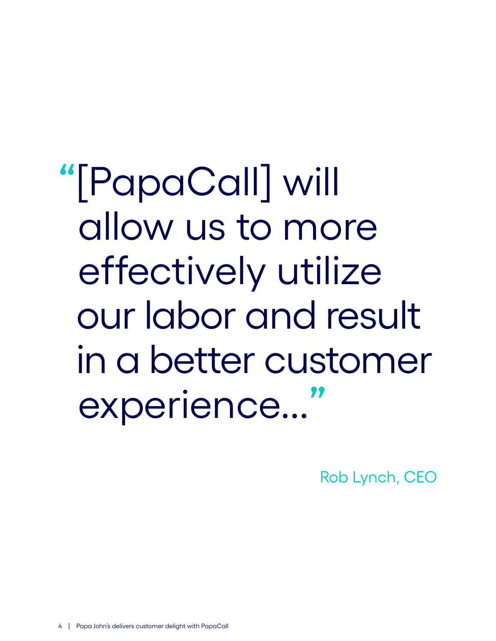**"**[PapaCall] will allow us to more effectively utilize our labor and result in a better customer experience...**"**

Rob Lynch, CEO